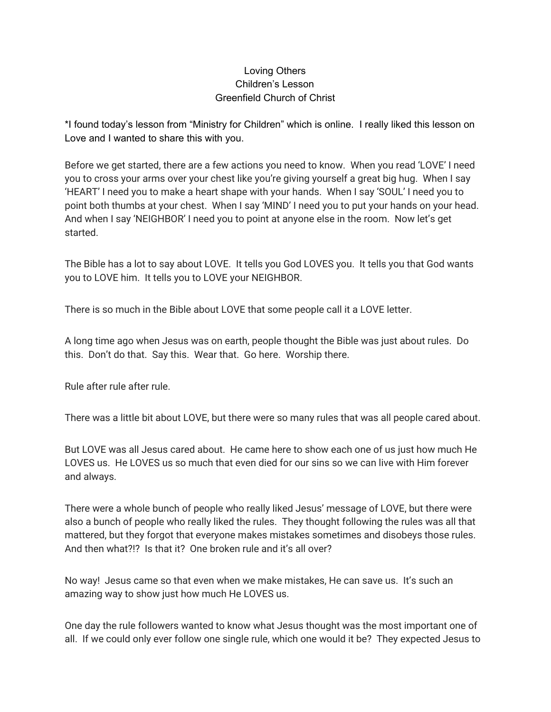## Loving Others Children's Lesson Greenfield Church of Christ

\*I found today's lesson from "Ministry for Children" which is online. I really liked this lesson on Love and I wanted to share this with you.

Before we get started, there are a few actions you need to know. When you read 'LOVE' I need you to cross your arms over your chest like you're giving yourself a great big hug. When I say 'HEART' I need you to make a heart shape with your hands. When I say 'SOUL' I need you to point both thumbs at your chest. When I say 'MIND' I need you to put your hands on your head. And when I say 'NEIGHBOR' I need you to point at anyone else in the room. Now let's get started.

The Bible has a lot to say about LOVE. It tells you God LOVES you. It tells you that God wants you to LOVE him. It tells you to LOVE your NEIGHBOR.

There is so much in the Bible about LOVE that some people call it a LOVE letter.

A long time ago when Jesus was on earth, people thought the Bible was just about rules. Do this. Don't do that. Say this. Wear that. Go here. Worship there.

Rule after rule after rule.

There was a little bit about LOVE, but there were so many rules that was all people cared about.

But LOVE was all Jesus cared about. He came here to show each one of us just how much He LOVES us. He LOVES us so much that even died for our sins so we can live with Him forever and always.

There were a whole bunch of people who really liked Jesus' message of LOVE, but there were also a bunch of people who really liked the rules. They thought following the rules was all that mattered, but they forgot that everyone makes mistakes sometimes and disobeys those rules. And then what?!? Is that it? One broken rule and it's all over?

No way! Jesus came so that even when we make mistakes, He can save us. It's such an amazing way to show just how much He LOVES us.

One day the rule followers wanted to know what Jesus thought was the most important one of all. If we could only ever follow one single rule, which one would it be? They expected Jesus to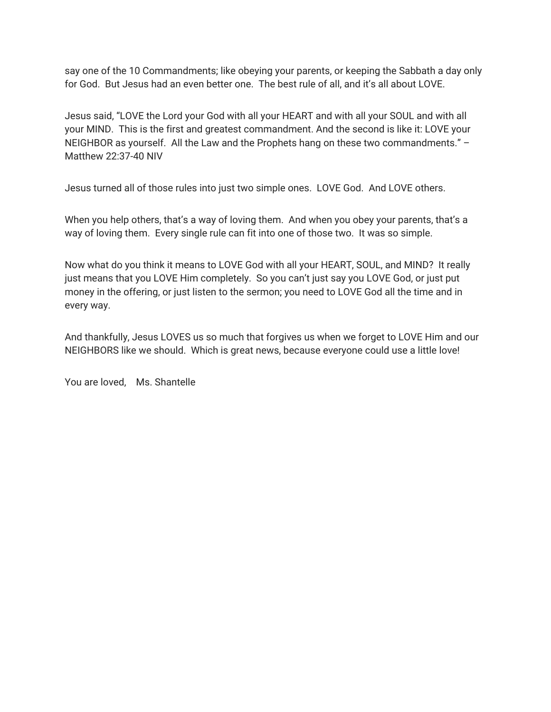say one of the 10 Commandments; like obeying your parents, or keeping the Sabbath a day only for God. But Jesus had an even better one. The best rule of all, and it's all about LOVE.

Jesus said, "LOVE the Lord your God with all your HEART and with all your SOUL and with all your MIND. This is the first and greatest commandment. And the second is like it: LOVE your NEIGHBOR as yourself. All the Law and the Prophets hang on these two commandments." – Matthew 22:37-40 NIV

Jesus turned all of those rules into just two simple ones. LOVE God. And LOVE others.

When you help others, that's a way of loving them. And when you obey your parents, that's a way of loving them. Every single rule can fit into one of those two. It was so simple.

Now what do you think it means to LOVE God with all your HEART, SOUL, and MIND? It really just means that you LOVE Him completely. So you can't just say you LOVE God, or just put money in the offering, or just listen to the sermon; you need to LOVE God all the time and in every way.

And thankfully, Jesus LOVES us so much that forgives us when we forget to LOVE Him and our NEIGHBORS like we should. Which is great news, because everyone could use a little love!

You are loved, Ms. Shantelle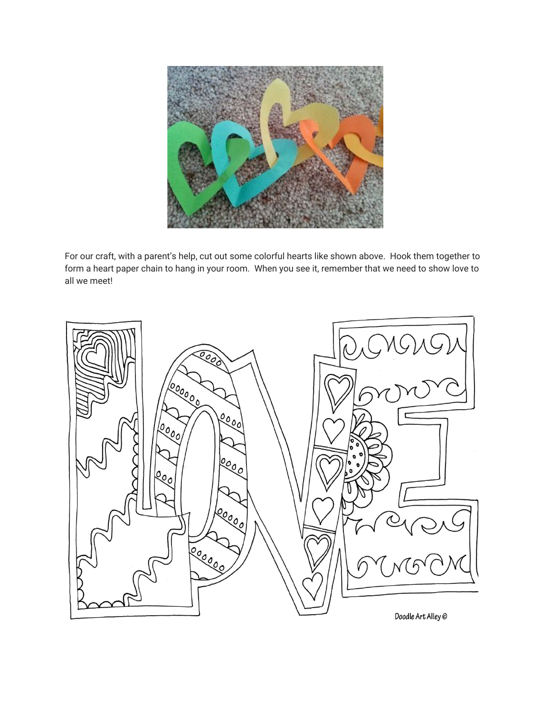

For our craft, with a parent's help, cut out some colorful hearts like shown above. Hook them together to form a heart paper chain to hang in your room. When you see it, remember that we need to show love to all we meet!